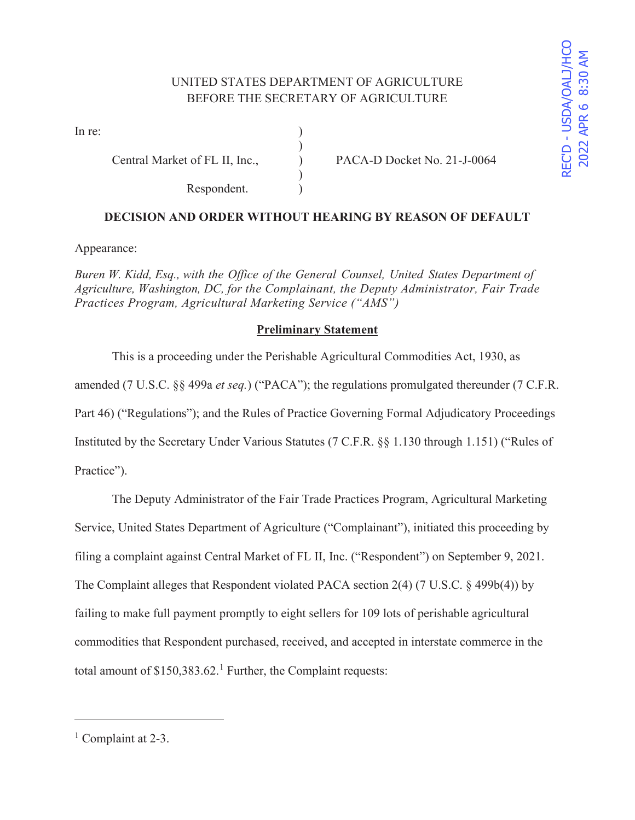# UNITED STATES DEPARTMENT OF AGRICULTURE BEFORE THE SECRETARY OF AGRICULTURE

)

 $\mathcal{L}$ 

In re:  $\qquad \qquad$  )

Respondent.

Central Market of FL II, Inc., PACA-D Docket No. 21-J-0064

# **DECISION AND ORDER WITHOUT HEARING BY REASON OF DEFAULT**

Appearance:

*Buren W. Kidd, Esq., with the Office of the General Counsel, United States Department of Agriculture, Washington, DC, for the Complainant, the Deputy Administrator, Fair Trade Practices Program, Agricultural Marketing Service ("AMS")* 

### **Preliminary Statement**

 This is a proceeding under the Perishable Agricultural Commodities Act, 1930, as amended (7 U.S.C. §§ 499a *et seq.*) ("PACA"); the regulations promulgated thereunder (7 C.F.R. Part 46) ("Regulations"); and the Rules of Practice Governing Formal Adjudicatory Proceedings Instituted by the Secretary Under Various Statutes (7 C.F.R. §§ 1.130 through 1.151) ("Rules of Practice").

 The Deputy Administrator of the Fair Trade Practices Program, Agricultural Marketing Service, United States Department of Agriculture ("Complainant"), initiated this proceeding by filing a complaint against Central Market of FL II, Inc. ("Respondent") on September 9, 2021. The Complaint alleges that Respondent violated PACA section 2(4) (7 U.S.C. § 499b(4)) by failing to make full payment promptly to eight sellers for 109 lots of perishable agricultural commodities that Respondent purchased, received, and accepted in interstate commerce in the total amount of  $$150,383.62$ <sup>1</sup> Further, the Complaint requests:

<sup>&</sup>lt;sup>1</sup> Complaint at 2-3.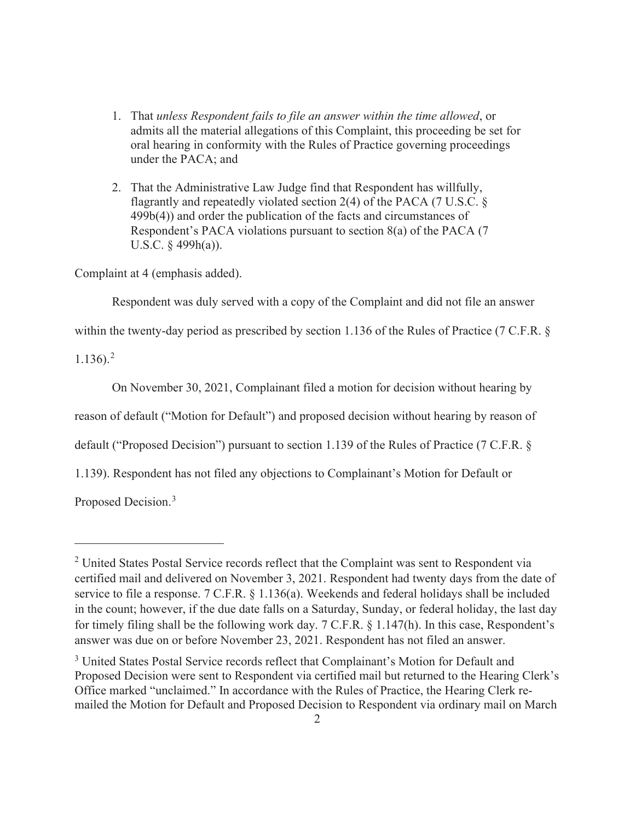- 1. That *unless Respondent fails to file an answer within the time allowed*, or admits all the material allegations of this Complaint, this proceeding be set for oral hearing in conformity with the Rules of Practice governing proceedings under the PACA; and
- 2. That the Administrative Law Judge find that Respondent has willfully, flagrantly and repeatedly violated section 2(4) of the PACA (7 U.S.C. § 499b(4)) and order the publication of the facts and circumstances of Respondent's PACA violations pursuant to section 8(a) of the PACA (7 U.S.C.  $\S$  499h(a)).

Complaint at 4 (emphasis added).

Respondent was duly served with a copy of the Complaint and did not file an answer

within the twenty-day period as prescribed by section 1.136 of the Rules of Practice (7 C.F.R. §

 $1.136$ ).<sup>2</sup>

On November 30, 2021, Complainant filed a motion for decision without hearing by

reason of default ("Motion for Default") and proposed decision without hearing by reason of

default ("Proposed Decision") pursuant to section 1.139 of the Rules of Practice (7 C.F.R. §

1.139). Respondent has not filed any objections to Complainant's Motion for Default or

Proposed Decision.<sup>3</sup>

<sup>&</sup>lt;sup>2</sup> United States Postal Service records reflect that the Complaint was sent to Respondent via certified mail and delivered on November 3, 2021. Respondent had twenty days from the date of service to file a response. 7 C.F.R. § 1.136(a). Weekends and federal holidays shall be included in the count; however, if the due date falls on a Saturday, Sunday, or federal holiday, the last day for timely filing shall be the following work day. 7 C.F.R. § 1.147(h). In this case, Respondent's answer was due on or before November 23, 2021. Respondent has not filed an answer.

<sup>&</sup>lt;sup>3</sup> United States Postal Service records reflect that Complainant's Motion for Default and Proposed Decision were sent to Respondent via certified mail but returned to the Hearing Clerk's Office marked "unclaimed." In accordance with the Rules of Practice, the Hearing Clerk remailed the Motion for Default and Proposed Decision to Respondent via ordinary mail on March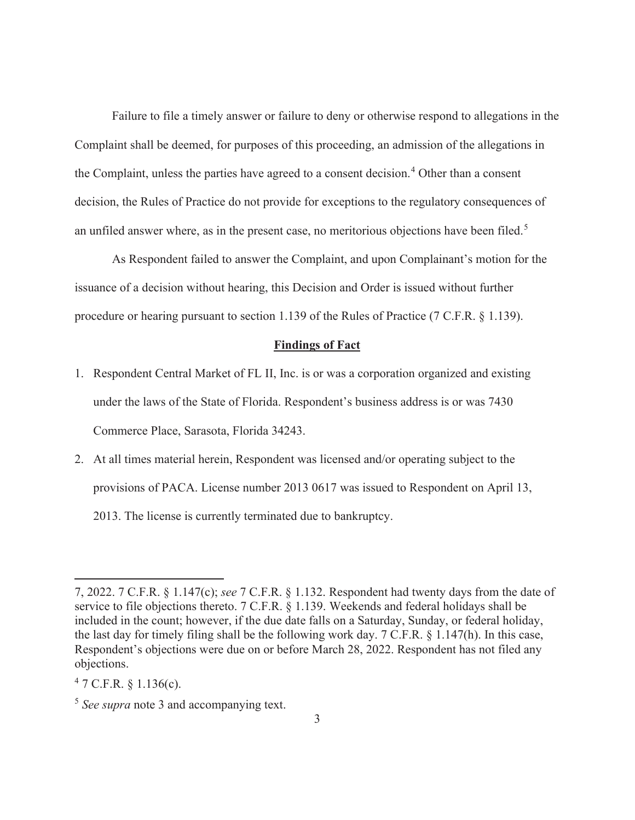Failure to file a timely answer or failure to deny or otherwise respond to allegations in the Complaint shall be deemed, for purposes of this proceeding, an admission of the allegations in the Complaint, unless the parties have agreed to a consent decision.<sup>4</sup> Other than a consent decision, the Rules of Practice do not provide for exceptions to the regulatory consequences of an unfiled answer where, as in the present case, no meritorious objections have been filed.<sup>5</sup>

 As Respondent failed to answer the Complaint, and upon Complainant's motion for the issuance of a decision without hearing, this Decision and Order is issued without further procedure or hearing pursuant to section 1.139 of the Rules of Practice (7 C.F.R. § 1.139).

#### **Findings of Fact**

- 1. Respondent Central Market of FL II, Inc. is or was a corporation organized and existing under the laws of the State of Florida. Respondent's business address is or was 7430 Commerce Place, Sarasota, Florida 34243.
- 2. At all times material herein, Respondent was licensed and/or operating subject to the provisions of PACA. License number 2013 0617 was issued to Respondent on April 13, 2013. The license is currently terminated due to bankruptcy.

 $47$  C.F.R. § 1.136(c).

<sup>7, 2022. 7</sup> C.F.R. § 1.147(c); *see* 7 C.F.R. § 1.132. Respondent had twenty days from the date of service to file objections thereto. 7 C.F.R. § 1.139. Weekends and federal holidays shall be included in the count; however, if the due date falls on a Saturday, Sunday, or federal holiday, the last day for timely filing shall be the following work day. 7 C.F.R. § 1.147(h). In this case, Respondent's objections were due on or before March 28, 2022. Respondent has not filed any objections.

<sup>5</sup> *See supra* note 3 and accompanying text.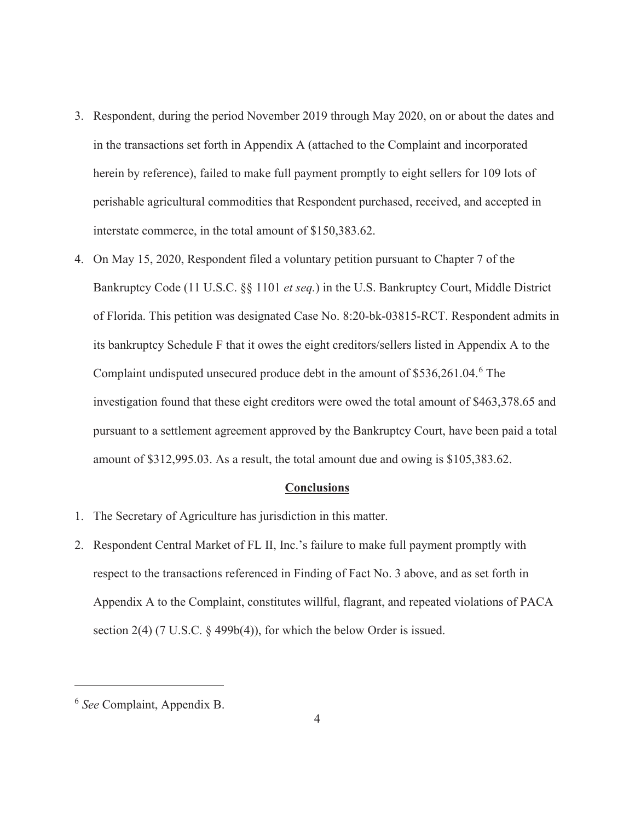- 3. Respondent, during the period November 2019 through May 2020, on or about the dates and in the transactions set forth in Appendix A (attached to the Complaint and incorporated herein by reference), failed to make full payment promptly to eight sellers for 109 lots of perishable agricultural commodities that Respondent purchased, received, and accepted in interstate commerce, in the total amount of \$150,383.62.
- 4. On May 15, 2020, Respondent filed a voluntary petition pursuant to Chapter 7 of the Bankruptcy Code (11 U.S.C. §§ 1101 *et seq.*) in the U.S. Bankruptcy Court, Middle District of Florida. This petition was designated Case No. 8:20-bk-03815-RCT. Respondent admits in its bankruptcy Schedule F that it owes the eight creditors/sellers listed in Appendix A to the Complaint undisputed unsecured produce debt in the amount of \$536,261.04.<sup>6</sup> The investigation found that these eight creditors were owed the total amount of \$463,378.65 and pursuant to a settlement agreement approved by the Bankruptcy Court, have been paid a total amount of \$312,995.03. As a result, the total amount due and owing is \$105,383.62.

#### **Conclusions**

- 1. The Secretary of Agriculture has jurisdiction in this matter.
- 2. Respondent Central Market of FL II, Inc.'s failure to make full payment promptly with respect to the transactions referenced in Finding of Fact No. 3 above, and as set forth in Appendix A to the Complaint, constitutes willful, flagrant, and repeated violations of PACA section 2(4) (7 U.S.C. § 499b(4)), for which the below Order is issued.

<sup>6</sup> *See* Complaint, Appendix B.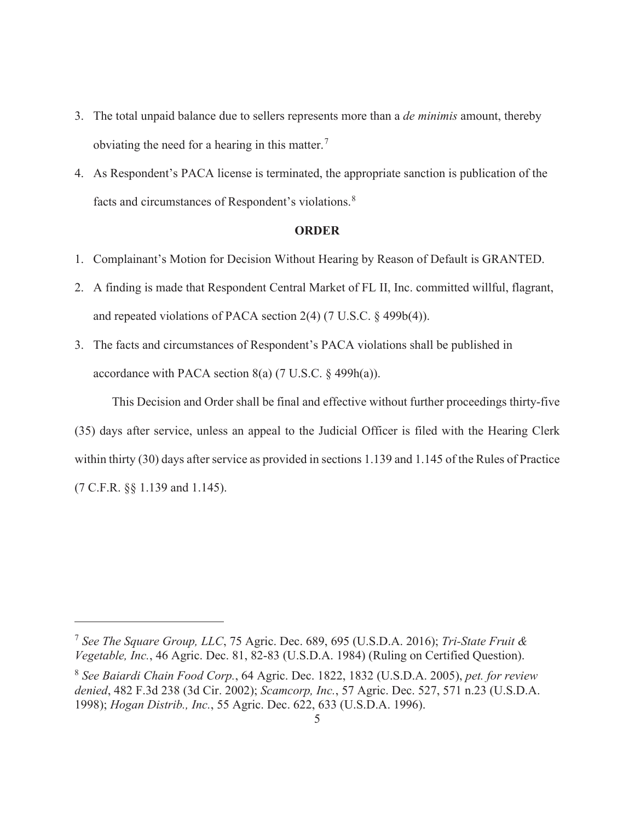- 3. The total unpaid balance due to sellers represents more than a *de minimis* amount, thereby obviating the need for a hearing in this matter.<sup>7</sup>
- 4. As Respondent's PACA license is terminated, the appropriate sanction is publication of the facts and circumstances of Respondent's violations.<sup>8</sup>

### **ORDER**

- 1. Complainant's Motion for Decision Without Hearing by Reason of Default is GRANTED.
- 2. A finding is made that Respondent Central Market of FL II, Inc. committed willful, flagrant, and repeated violations of PACA section 2(4) (7 U.S.C. § 499b(4)).
- 3. The facts and circumstances of Respondent's PACA violations shall be published in accordance with PACA section  $8(a)$  (7 U.S.C.  $\S$  499h(a)).

 This Decision and Order shall be final and effective without further proceedings thirty-five (35) days after service, unless an appeal to the Judicial Officer is filed with the Hearing Clerk within thirty (30) days after service as provided in sections 1.139 and 1.145 of the Rules of Practice (7 C.F.R. §§ 1.139 and 1.145).

<sup>7</sup> *See The Square Group, LLC*, 75 Agric. Dec. 689, 695 (U.S.D.A. 2016); *Tri-State Fruit & Vegetable, Inc.*, 46 Agric. Dec. 81, 82-83 (U.S.D.A. 1984) (Ruling on Certified Question).

<sup>8</sup> *See Baiardi Chain Food Corp.*, 64 Agric. Dec. 1822, 1832 (U.S.D.A. 2005), *pet. for review denied*, 482 F.3d 238 (3d Cir. 2002); *Scamcorp, Inc.*, 57 Agric. Dec. 527, 571 n.23 (U.S.D.A. 1998); *Hogan Distrib., Inc.*, 55 Agric. Dec. 622, 633 (U.S.D.A. 1996).